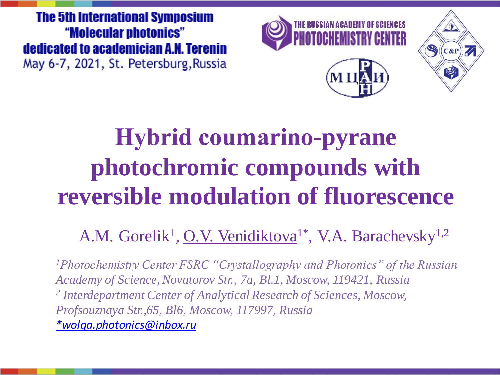**The 5th International Symposium** "Molecular photonics" dedicated to academician A.N. Terenin May 6-7, 2021, St. Petersburg, Russia







## **Hybrid соumarino-pyrane photochromic compounds with reversible modulation of fluorescence**

A.M. Gorelik<sup>1</sup>, O.V. Venidiktova<sup>1\*</sup>, V.A. Barachevsky<sup>1,2</sup>

*<sup>1</sup>Photochemistry Center FSRC "Crystallography and Photonics" of the Russian Academy of Science, Novatorov Str., 7a, Bl.1, Moscow, 119421, Russia 2 Interdepartment Center of Analytical Research of Sciences, Moscow, Profsouznaya Str.,65, Bl6, Moscow, 117997, Russia [\\*wolga.photonics@inbox.ru](mailto:*wolga.photonics@inbox.ru7gorelik@mail.ru)*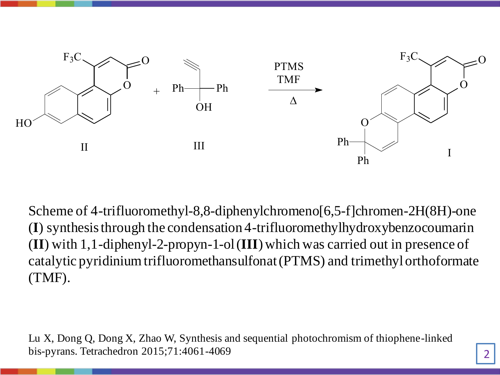

Scheme of 4-trifluoromethyl-8,8-diphenylchromeno[6,5-f]chromen-2H(8H)-one (**I**) synthesis through the condensation 4-trifluoromethylhydroxybenzocoumarin (**II**) with 1,1-diphenyl-2-propyn-1-ol (**III**) which was carried out in presence of catalytic pyridinium trifluoromethansulfonat (PTMS) and trimethyl orthoformate (TMF).

Lu X, Dong Q, Dong X, Zhao W, Synthesis and sequential photochromism of thiophene-linked bis-pyrans. Tetrachedron 2015;71:4061-4069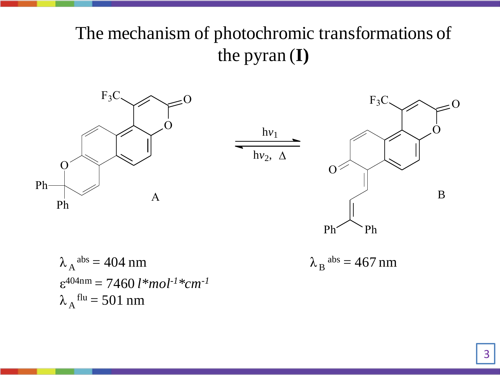## The mechanism of photochromic transformations of the pyran (**I)**



 $\lambda_A^{abs} = 404$  nm  $\lambda_B$ ε 404nm = 7460 *l\*mol-1\*cm-1*  $\lambda$ <sub>A</sub> flu = 501 nm

$$
\lambda_{\,B}^{\ \ \, abs}=467\ nm
$$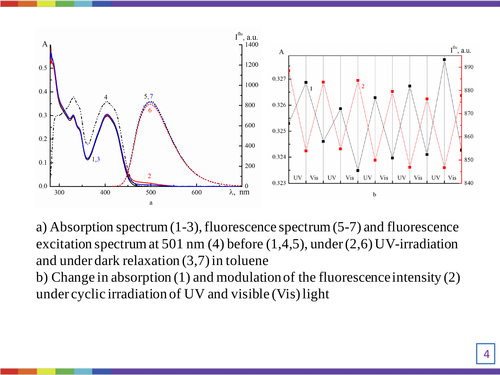

a) Absorption spectrum (1-3), fluorescence spectrum (5-7) and fluorescence excitation spectrum at 501 nm (4) before  $(1,4,5)$ , under  $(2,6)$  UV-irradiation and under dark relaxation (3,7) in toluene

b) Change in absorption (1) and modulation of the fluorescence intensity (2) under cyclic irradiation of UV and visible (Vis) light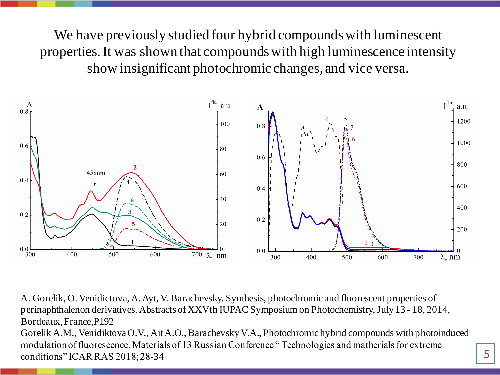We have previously studied four hybrid compounds with luminescent properties. It was shown that compounds with high luminescence intensity show insignificant photochromic changes, and vice versa.



A. Gorelik, O. Venidictova, A. Ayt, V. Barachevsky. Synthesis, photochromic and fluorescent properties of perinaphthalenon derivatives. Abstracts of XXVth IUPAC Symposium on Photochemistry, July 13 - 18, 2014, Bordeaux, France,Р192 Gorelik A.M., Venidiktova O.V., Ait A.O., Barachevsky V.A., Photochromic hybrid compounds with photoinduced modulation of fluorescence. Materials of 13 Russian Conference " Technologies and matherials for extreme

conditions" ICAR RAS 2018; 28-34

5